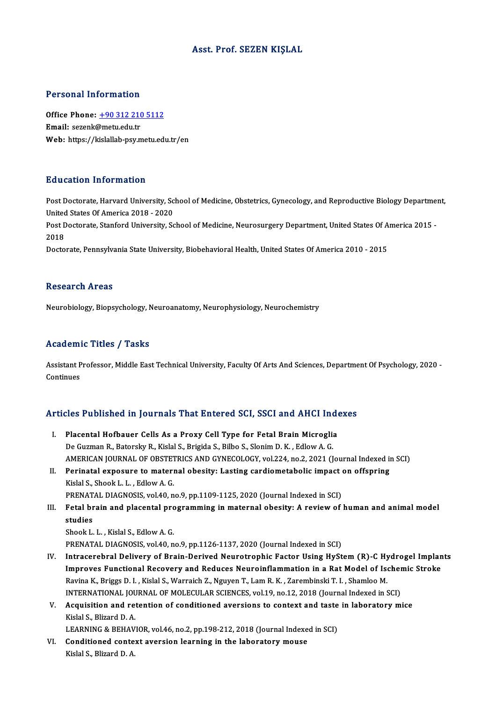## Asst. Prof. SEZEN KIŞLAL

## Personal Information

Office Phone: +90 312 210 5112 Email: sezenk@metu.edu.tr Web: https://kislallab-psy.metu.edu.tr/en

## Education Information

Education Information<br>Post Doctorate, Harvard University, School of Medicine, Obstetrics, Gynecology, and Reproductive Biology Department,<br>United States Of America 2018, 2020 Post Doctorate, Harvard University, Sc<br>Post Doctorate, Harvard University, Sc<br>Post Doctorate, Stanford University, Sc Post Doctorate, Harvard University, School of Medicine, Obstetrics, Gynecology, and Reproductive Biology Departme<br>United States Of America 2018 - 2020<br>Post Doctorate, Stanford University, School of Medicine, Neurosurgery D

United<br>Post D<br>2018<br>Doste Post Doctorate, Stanford University, School of Medicine, Neurosurgery Department, United States Of A<br>2018<br>Doctorate, Pennsylvania State University, Biobehavioral Health, United States Of America 2010 - 2015

Doctorate, Pennsylvania State University, Biobehavioral Health, United States Of America 2010 - 2015<br>Research Areas

Neurobiology, Biopsychology, Neuroanatomy, Neurophysiology, Neurochemistry

#### Academic Titles / Tasks

Academic Titles / Tasks<br>Assistant Professor, Middle East Technical University, Faculty Of Arts And Sciences, Department Of Psychology, 2020 -<br>Continues Assistant P<br>Continues

# Articles Published in Journals That Entered SCI, SSCI and AHCI Indexes

rticles Published in Journals That Entered SCI, SSCI and AHCI Inde<br>I. Placental Hofbauer Cells As a Proxy Cell Type for Fetal Brain Microglia<br>De Curman B. Petersky B. Kislal S. Britide S. Bilbe S. Slapim D. K. Edlew A. C. I. Placental Hofbauer Cells As a Proxy Cell Type for Fetal Brain Microglia<br>De Guzman R., Batorsky R., Kislal S., Brigida S., Bilbo S., Slonim D.K., Edlow A. G. Placental Hofbauer Cells As a Proxy Cell Type for Fetal Brain Microglia<br>De Guzman R., Batorsky R., Kislal S., Brigida S., Bilbo S., Slonim D. K. , Edlow A. G.<br>AMERICAN JOURNAL OF OBSTETRICS AND GYNECOLOGY, vol.224, no.2, 2 De Guzman R., Batorsky R., Kislal S., Brigida S., Bilbo S., Slonim D. K., Edlow A. G.<br>AMERICAN JOURNAL OF OBSTETRICS AND GYNECOLOGY, vol.224, no.2, 2021 (Journal Indexed in<br>II. Perinatal exposure to maternal obesity: Lasti AMERICAN JOURNAL OF OBSTET<br>Perinatal exposure to materi<br>Kislal S., Shook L. L. , Edlow A. G.<br>PRENATAL DIAGNOSIS vol.40 p Perinatal exposure to maternal obesity: Lasting cardiometabolic impact<br>Kislal S., Shook L. L. , Edlow A. G.<br>PRENATAL DIAGNOSIS, vol.40, no.9, pp.1109-1125, 2020 (Journal Indexed in SCI)<br>Estal brain and plasental programmin

- Kislal S., Shook L. L. , Edlow A. G.<br>PRENATAL DIAGNOSIS, vol.40, no.9, pp.1109-1125, 2020 (Journal Indexed in SCI)<br>III. Fetal brain and placental programming in maternal obesity: A review of human and animal model<br>studies PRENAT<br>Fetal br<br>studies<br><sup>Shook I</sup> Fetal brain and placental pro<br>studies<br>Shook L. L. , Kislal S., Edlow A. G.<br>PRENATAL DIACNOSIS vol 40 n studies<br>Shook L. L. , Kislal S., Edlow A. G.<br>PRENATAL DIAGNOSIS, vol.40, no.9, pp.1126-1137, 2020 (Journal Indexed in SCI)
	-

- IV. Intracerebral Delivery of Brain-Derived Neurotrophic Factor Using HyStem(R)-C Hydrogel Implants PRENATAL DIAGNOSIS, vol.40, no.9, pp.1126-1137, 2020 (Journal Indexed in SCI)<br>Intracerebral Delivery of Brain-Derived Neurotrophic Factor Using HyStem (R)-C Hydrogel Implan<br>Improves Functional Recovery and Reduces Neuroinf Intracerebral Delivery of Brain-Derived Neurotrophic Factor Using HyStem (R)-C Hy<br>Improves Functional Recovery and Reduces Neuroinflammation in a Rat Model of Ise<br>Ravina K., Briggs D. I. , Kislal S., Warraich Z., Nguyen T. Improves Functional Recovery and Reduces Neuroinflammation in a Rat Model of Ischer<br>Ravina K., Briggs D. I. , Kislal S., Warraich Z., Nguyen T., Lam R. K. , Zarembinski T. I. , Shamloo M.<br>INTERNATIONAL JOURNAL OF MOLECULAR Ravina K., Briggs D. I. , Kislal S., Warraich Z., Nguyen T., Lam R. K. , Zarembinski T. I. , Shamloo M.<br>INTERNATIONAL JOURNAL OF MOLECULAR SCIENCES, vol.19, no.12, 2018 (Journal Indexed in SCI)<br>V. Acquisition and retention
- **INTERNATIONAL JOU<br>Acquisition and re<br>Kislal S., Blizard D. A.**<br>LEARNING & REHAV Acquisition and retention of conditioned aversions to context and taste<br>Kislal S., Blizard D. A.<br>LEARNING & BEHAVIOR, vol.46, no.2, pp.198-212, 2018 (Journal Indexed in SCI)<br>Conditioned context evension learning in the lab

Kislal S., Blizard D. A.<br>LEARNING & BEHAVIOR, vol.46, no.2, pp.198-212, 2018 (Journal Indexent<br>VI. Conditioned context aversion learning in the laboratory mouse<br>Vielel S. Blizard D. A. LEARNING & BEHAV<br><mark>Conditioned conte</mark><br>Kislal S., Blizard D. A.